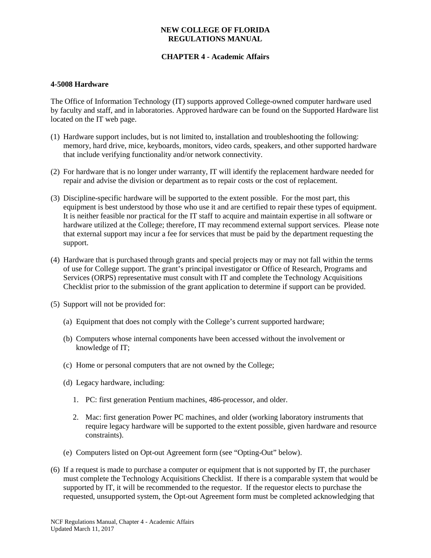### **NEW COLLEGE OF FLORIDA REGULATIONS MANUAL**

# **CHAPTER 4 - Academic Affairs**

#### **4-5008 Hardware**

The Office of Information Technology (IT) supports approved College-owned computer hardware used by faculty and staff, and in laboratories. Approved hardware can be found on the Supported Hardware list located on the IT web page.

- (1) Hardware support includes, but is not limited to, installation and troubleshooting the following: memory, hard drive, mice, keyboards, monitors, video cards, speakers, and other supported hardware that include verifying functionality and/or network connectivity.
- (2) For hardware that is no longer under warranty, IT will identify the replacement hardware needed for repair and advise the division or department as to repair costs or the cost of replacement.
- (3) Discipline-specific hardware will be supported to the extent possible. For the most part, this equipment is best understood by those who use it and are certified to repair these types of equipment. It is neither feasible nor practical for the IT staff to acquire and maintain expertise in all software or hardware utilized at the College; therefore, IT may recommend external support services. Please note that external support may incur a fee for services that must be paid by the department requesting the support.
- (4) Hardware that is purchased through grants and special projects may or may not fall within the terms of use for College support. The grant's principal investigator or Office of Research, Programs and Services (ORPS) representative must consult with IT and complete the Technology Acquisitions Checklist prior to the submission of the grant application to determine if support can be provided.
- (5) Support will not be provided for:
	- (a) Equipment that does not comply with the College's current supported hardware;
	- (b) Computers whose internal components have been accessed without the involvement or knowledge of IT;
	- (c) Home or personal computers that are not owned by the College;
	- (d) Legacy hardware, including:
		- 1. PC: first generation Pentium machines, 486-processor, and older.
		- 2. Mac: first generation Power PC machines, and older (working laboratory instruments that require legacy hardware will be supported to the extent possible, given hardware and resource constraints).
	- (e) Computers listed on Opt-out Agreement form (see "Opting-Out" below).
- (6) If a request is made to purchase a computer or equipment that is not supported by IT, the purchaser must complete the Technology Acquisitions Checklist. If there is a comparable system that would be supported by IT, it will be recommended to the requestor. If the requestor elects to purchase the requested, unsupported system, the Opt-out Agreement form must be completed acknowledging that